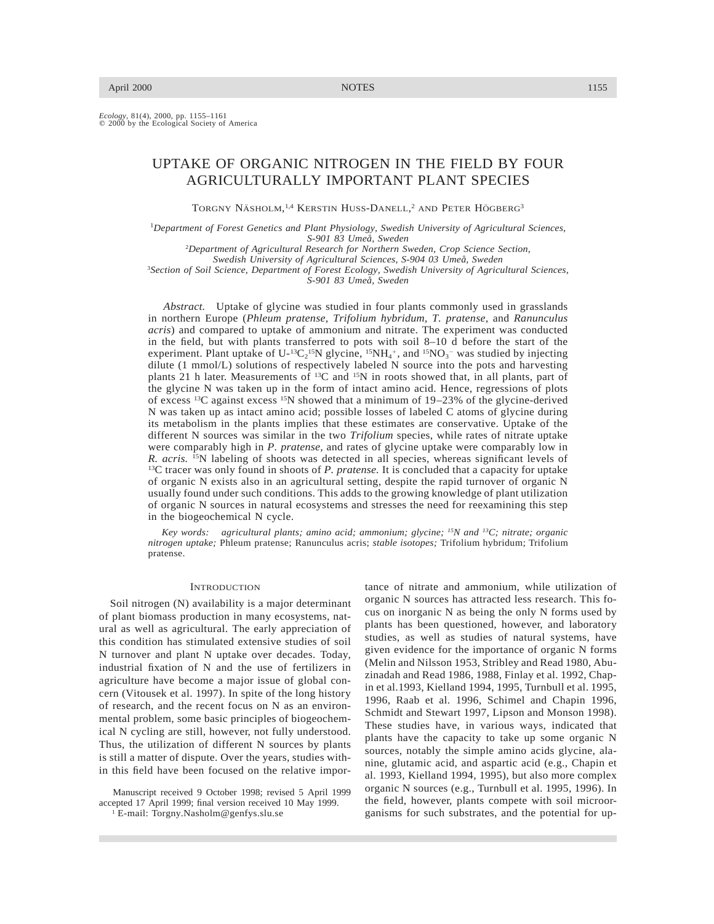*Ecology,* 81(4), 2000, pp. 1155–1161<br>© 2000 by the Ecological Society of America

# UPTAKE OF ORGANIC NITROGEN IN THE FIELD BY FOUR AGRICULTURALLY IMPORTANT PLANT SPECIES

TORGNY NÄSHOLM,<sup>1,4</sup> KERSTIN HUSS-DANELL,<sup>2</sup> AND PETER HÖGBERG<sup>3</sup>

<sup>1</sup>*Department of Forest Genetics and Plant Physiology, Swedish University of Agricultural Sciences,*

*S-901 83 Umea˚, Sweden*

2 *Department of Agricultural Research for Northern Sweden, Crop Science Section, Swedish University of Agricultural Sciences, S-904 03 Umea˚, Sweden* 3 *Section of Soil Science, Department of Forest Ecology, Swedish University of Agricultural Sciences,*

*S-901 83 Umea˚, Sweden*

*Abstract.* Uptake of glycine was studied in four plants commonly used in grasslands in northern Europe (*Phleum pratense, Trifolium hybridum, T. pratense,* and *Ranunculus acris*) and compared to uptake of ammonium and nitrate. The experiment was conducted in the field, but with plants transferred to pots with soil 8–10  $\tilde{d}$  before the start of the experiment. Plant uptake of  $U$ -<sup>13</sup>C<sub>2</sub><sup>15</sup>N glycine, <sup>15</sup>NH<sub>4</sub><sup>+</sup>, and <sup>15</sup>NO<sub>3</sub><sup>-</sup> was studied by injecting dilute (1 mmol/L) solutions of respectively labeled N source into the pots and harvesting plants 21 h later. Measurements of 13C and 15N in roots showed that, in all plants, part of the glycine N was taken up in the form of intact amino acid. Hence, regressions of plots of excess <sup>13</sup>C against excess <sup>15</sup>N showed that a minimum of  $19-23%$  of the glycine-derived N was taken up as intact amino acid; possible losses of labeled C atoms of glycine during its metabolism in the plants implies that these estimates are conservative. Uptake of the different N sources was similar in the two *Trifolium* species, while rates of nitrate uptake were comparably high in *P. pratense,* and rates of glycine uptake were comparably low in *R. acris.* 15N labeling of shoots was detected in all species, whereas significant levels of 13C tracer was only found in shoots of *P. pratense.* It is concluded that a capacity for uptake of organic N exists also in an agricultural setting, despite the rapid turnover of organic N usually found under such conditions. This adds to the growing knowledge of plant utilization of organic N sources in natural ecosystems and stresses the need for reexamining this step in the biogeochemical N cycle.

*Key words: agricultural plants; amino acid; ammonium; glycine; 15N and 13C; nitrate; organic nitrogen uptake;* Phleum pratense; Ranunculus acris; *stable isotopes;* Trifolium hybridum; Trifolium pratense.

#### **INTRODUCTION**

Soil nitrogen (N) availability is a major determinant of plant biomass production in many ecosystems, natural as well as agricultural. The early appreciation of this condition has stimulated extensive studies of soil N turnover and plant N uptake over decades. Today, industrial fixation of N and the use of fertilizers in agriculture have become a major issue of global concern (Vitousek et al. 1997). In spite of the long history of research, and the recent focus on N as an environmental problem, some basic principles of biogeochemical N cycling are still, however, not fully understood. Thus, the utilization of different N sources by plants is still a matter of dispute. Over the years, studies within this field have been focused on the relative impor-

Manuscript received 9 October 1998; revised 5 April 1999 accepted 17 April 1999; final version received 10 May 1999. <sup>1</sup> E-mail: Torgny.Nasholm@genfys.slu.se

tance of nitrate and ammonium, while utilization of organic N sources has attracted less research. This focus on inorganic N as being the only N forms used by plants has been questioned, however, and laboratory studies, as well as studies of natural systems, have

given evidence for the importance of organic N forms (Melin and Nilsson 1953, Stribley and Read 1980, Abuzinadah and Read 1986, 1988, Finlay et al. 1992, Chapin et al.1993, Kielland 1994, 1995, Turnbull et al. 1995, 1996, Raab et al. 1996, Schimel and Chapin 1996, Schmidt and Stewart 1997, Lipson and Monson 1998). These studies have, in various ways, indicated that plants have the capacity to take up some organic N sources, notably the simple amino acids glycine, alanine, glutamic acid, and aspartic acid (e.g., Chapin et al. 1993, Kielland 1994, 1995), but also more complex organic N sources (e.g., Turnbull et al. 1995, 1996). In the field, however, plants compete with soil microorganisms for such substrates, and the potential for up-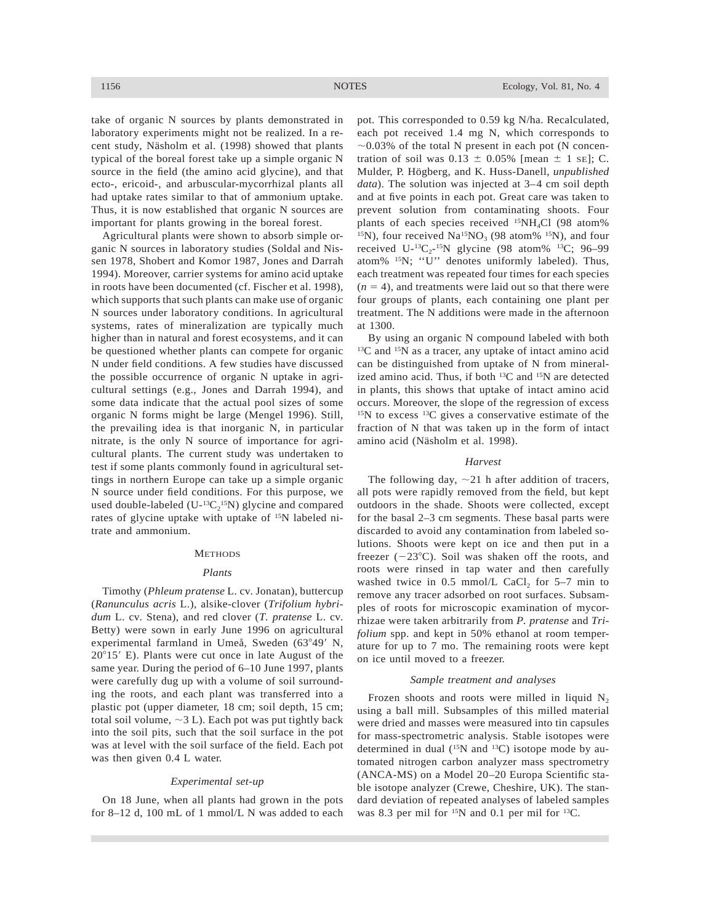take of organic N sources by plants demonstrated in laboratory experiments might not be realized. In a recent study, Näsholm et al. (1998) showed that plants typical of the boreal forest take up a simple organic N source in the field (the amino acid glycine), and that ecto-, ericoid-, and arbuscular-mycorrhizal plants all had uptake rates similar to that of ammonium uptake. Thus, it is now established that organic N sources are important for plants growing in the boreal forest.

Agricultural plants were shown to absorb simple organic N sources in laboratory studies (Soldal and Nissen 1978, Shobert and Komor 1987, Jones and Darrah 1994). Moreover, carrier systems for amino acid uptake in roots have been documented (cf. Fischer et al. 1998), which supports that such plants can make use of organic N sources under laboratory conditions. In agricultural systems, rates of mineralization are typically much higher than in natural and forest ecosystems, and it can be questioned whether plants can compete for organic N under field conditions. A few studies have discussed the possible occurrence of organic N uptake in agricultural settings (e.g., Jones and Darrah 1994), and some data indicate that the actual pool sizes of some organic N forms might be large (Mengel 1996). Still, the prevailing idea is that inorganic N, in particular nitrate, is the only N source of importance for agricultural plants. The current study was undertaken to test if some plants commonly found in agricultural settings in northern Europe can take up a simple organic N source under field conditions. For this purpose, we used double-labeled  $(U<sup>-13</sup>C<sub>2</sub><sup>15</sup>N)$  glycine and compared rates of glycine uptake with uptake of 15N labeled nitrate and ammonium.

#### **METHODS**

#### *Plants*

Timothy (*Phleum pratense* L. cv. Jonatan), buttercup (*Ranunculus acris* L.), alsike-clover (*Trifolium hybridum* L. cv. Stena), and red clover (*T. pratense* L. cv. Betty) were sown in early June 1996 on agricultural experimental farmland in Umeå, Sweden  $(63°49'$  N,  $20^{\circ}15'$  E). Plants were cut once in late August of the same year. During the period of 6–10 June 1997, plants were carefully dug up with a volume of soil surrounding the roots, and each plant was transferred into a plastic pot (upper diameter, 18 cm; soil depth, 15 cm; total soil volume,  $\sim$ 3 L). Each pot was put tightly back into the soil pits, such that the soil surface in the pot was at level with the soil surface of the field. Each pot was then given 0.4 L water.

#### *Experimental set-up*

On 18 June, when all plants had grown in the pots for 8–12 d, 100 mL of 1 mmol/L N was added to each pot. This corresponded to 0.59 kg N/ha. Recalculated, each pot received 1.4 mg N, which corresponds to  $\sim$ 0.03% of the total N present in each pot (N concentration of soil was  $0.13 \pm 0.05\%$  [mean  $\pm$  1 se]; C. Mulder, P. Högberg, and K. Huss-Danell, *unpublished data*). The solution was injected at 3–4 cm soil depth and at five points in each pot. Great care was taken to prevent solution from contaminating shoots. Four plants of each species received <sup>15</sup>NH<sub>4</sub>Cl (98 atom% <sup>15</sup>N), four received Na<sup>15</sup>NO<sub>3</sub> (98 atom% <sup>15</sup>N), and four received U- ${}^{13}C_{2}$ - ${}^{15}N$  glycine (98 atom%  ${}^{13}C$ ; 96–99 atom% 15N; ''U'' denotes uniformly labeled). Thus, each treatment was repeated four times for each species  $(n = 4)$ , and treatments were laid out so that there were four groups of plants, each containing one plant per treatment. The N additions were made in the afternoon at 1300.

By using an organic N compound labeled with both  $13C$  and  $15N$  as a tracer, any uptake of intact amino acid can be distinguished from uptake of N from mineralized amino acid. Thus, if both 13C and 15N are detected in plants, this shows that uptake of intact amino acid occurs. Moreover, the slope of the regression of excess 15N to excess 13C gives a conservative estimate of the fraction of N that was taken up in the form of intact amino acid (Näsholm et al. 1998).

## *Harvest*

The following day,  $\sim$ 21 h after addition of tracers, all pots were rapidly removed from the field, but kept outdoors in the shade. Shoots were collected, except for the basal 2–3 cm segments. These basal parts were discarded to avoid any contamination from labeled solutions. Shoots were kept on ice and then put in a freezer  $(-23^{\circ}C)$ . Soil was shaken off the roots, and roots were rinsed in tap water and then carefully washed twice in  $0.5 \text{ mmol/L}$  CaCl<sub>2</sub> for  $5-7 \text{ min}$  to remove any tracer adsorbed on root surfaces. Subsamples of roots for microscopic examination of mycorrhizae were taken arbitrarily from *P. pratense* and *Trifolium* spp. and kept in 50% ethanol at room temperature for up to 7 mo. The remaining roots were kept on ice until moved to a freezer.

## *Sample treatment and analyses*

Frozen shoots and roots were milled in liquid  $N_2$ using a ball mill. Subsamples of this milled material were dried and masses were measured into tin capsules for mass-spectrometric analysis. Stable isotopes were determined in dual  $(^{15}N$  and  $^{13}C)$  isotope mode by automated nitrogen carbon analyzer mass spectrometry (ANCA-MS) on a Model 20–20 Europa Scientific stable isotope analyzer (Crewe, Cheshire, UK). The standard deviation of repeated analyses of labeled samples was 8.3 per mil for 15N and 0.1 per mil for 13C.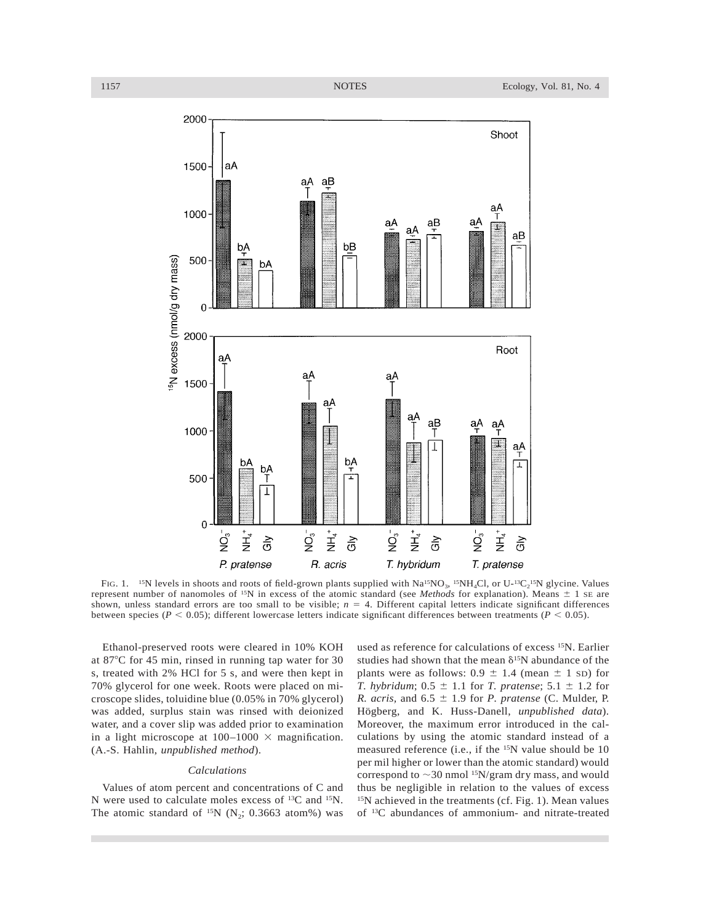

FIG. 1. <sup>15</sup>N levels in shoots and roots of field-grown plants supplied with  $Na^{15}NO_3$ , <sup>15</sup>NH<sub>4</sub>Cl, or U-<sup>13</sup>C<sub>2</sub><sup>15</sup>N glycine. Values represent number of nanomoles of <sup>15</sup>N in excess of the atomic standard (see *Methods* for explanation). Means  $\pm$  1 se are shown, unless standard errors are too small to be visible;  $n = 4$ . Different capital letters indicate significant differences between species ( $P < 0.05$ ); different lowercase letters indicate significant differences between treatments ( $P < 0.05$ ).

Ethanol-preserved roots were cleared in 10% KOH at 87°C for 45 min, rinsed in running tap water for 30 s, treated with 2% HCl for 5 s, and were then kept in 70% glycerol for one week. Roots were placed on microscope slides, toluidine blue (0.05% in 70% glycerol) was added, surplus stain was rinsed with deionized water, and a cover slip was added prior to examination in a light microscope at  $100-1000 \times$  magnification. (A.-S. Hahlin, *unpublished method*).

# *Calculations*

Values of atom percent and concentrations of C and N were used to calculate moles excess of 13C and 15N. The atomic standard of  $^{15}N$  (N<sub>2</sub>; 0.3663 atom%) was used as reference for calculations of excess 15N. Earlier studies had shown that the mean  $\delta^{15}N$  abundance of the plants were as follows:  $0.9 \pm 1.4$  (mean  $\pm 1$  sp) for *T. hybridum*;  $0.5 \pm 1.1$  for *T. pratense*;  $5.1 \pm 1.2$  for *R. acris,* and  $6.5 \pm 1.9$  for *P. pratense* (C. Mulder, P. Högberg, and K. Huss-Danell, *unpublished data*). Moreover, the maximum error introduced in the calculations by using the atomic standard instead of a measured reference (i.e., if the 15N value should be 10 per mil higher or lower than the atomic standard) would correspond to  $\sim$ 30 nmol <sup>15</sup>N/gram dry mass, and would thus be negligible in relation to the values of excess  $15N$  achieved in the treatments (cf. Fig. 1). Mean values of 13C abundances of ammonium- and nitrate-treated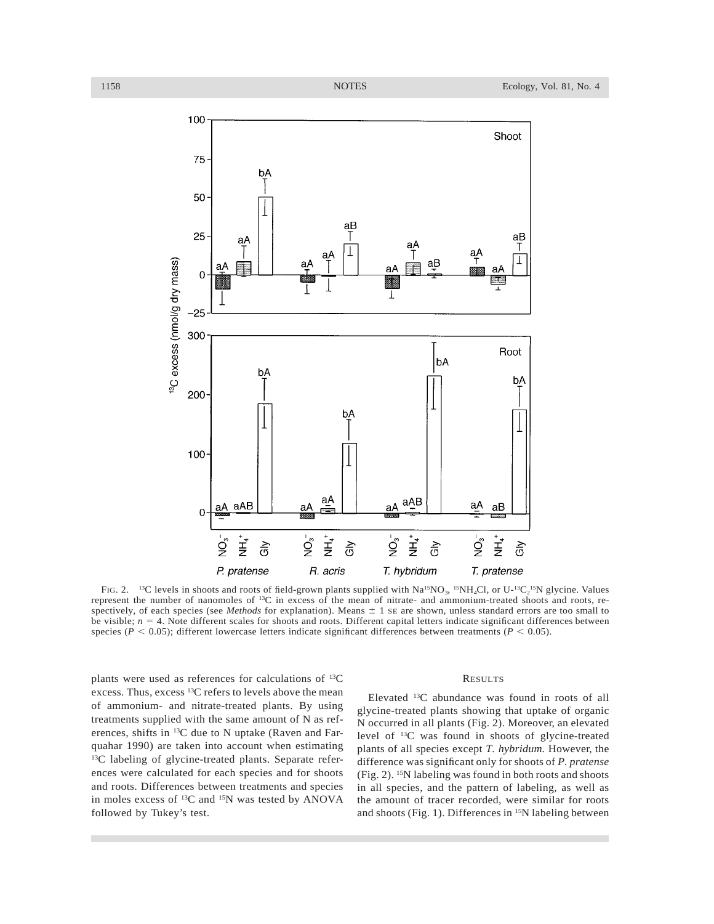

FIG. 2. <sup>13</sup>C levels in shoots and roots of field-grown plants supplied with  $Na^{15}NO_3$ , <sup>15</sup>NH<sub>4</sub>Cl, or U-<sup>13</sup>C<sub>2</sub><sup>15</sup>N glycine. Values represent the number of nanomoles of 13C in excess of the mean of nitrate- and ammonium-treated shoots and roots, respectively, of each species (see *Methods* for explanation). Means  $\pm$  1 se are shown, unless standard errors are too small to be visible;  $n = 4$ . Note different scales for shoots and roots. Different capital letters indicate significant differences between species ( $P < 0.05$ ); different lowercase letters indicate significant differences between treatments ( $P < 0.05$ ).

plants were used as references for calculations of 13C excess. Thus, excess 13C refers to levels above the mean of ammonium- and nitrate-treated plants. By using treatments supplied with the same amount of N as references, shifts in 13C due to N uptake (Raven and Farquahar 1990) are taken into account when estimating 13C labeling of glycine-treated plants. Separate references were calculated for each species and for shoots and roots. Differences between treatments and species in moles excess of 13C and 15N was tested by ANOVA followed by Tukey's test.

## RESULTS

Elevated 13C abundance was found in roots of all glycine-treated plants showing that uptake of organic N occurred in all plants (Fig. 2). Moreover, an elevated level of 13C was found in shoots of glycine-treated plants of all species except *T. hybridum.* However, the difference was significant only for shoots of *P. pratense* (Fig. 2). 15N labeling was found in both roots and shoots in all species, and the pattern of labeling, as well as the amount of tracer recorded, were similar for roots and shoots (Fig. 1). Differences in 15N labeling between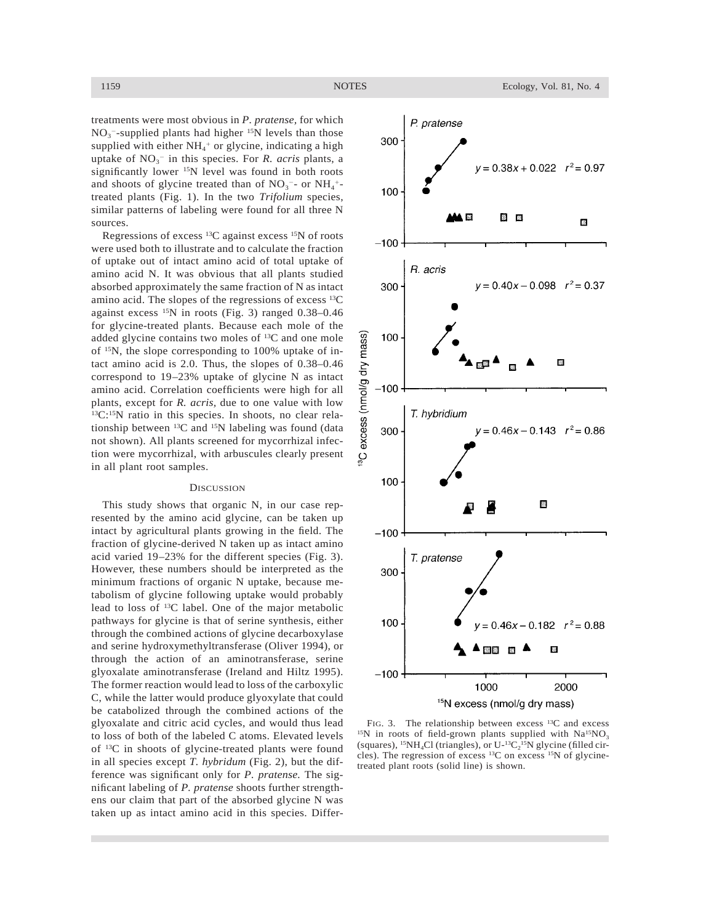treatments were most obvious in *P. pratense,* for which  $NO<sub>3</sub>$ <sup>-</sup>-supplied plants had higher <sup>15</sup>N levels than those supplied with either  $NH_4^+$  or glycine, indicating a high uptake of  $NO<sub>3</sub><sup>-</sup>$  in this species. For *R. acris* plants, a significantly lower 15N level was found in both roots and shoots of glycine treated than of  $NO<sub>3</sub>^-$ - or  $NH<sub>4</sub>^+$ treated plants (Fig. 1). In the two *Trifolium* species, similar patterns of labeling were found for all three N sources.

Regressions of excess 13C against excess 15N of roots were used both to illustrate and to calculate the fraction of uptake out of intact amino acid of total uptake of amino acid N. It was obvious that all plants studied absorbed approximately the same fraction of N as intact amino acid. The slopes of the regressions of excess 13C against excess  $^{15}N$  in roots (Fig. 3) ranged 0.38–0.46 for glycine-treated plants. Because each mole of the added glycine contains two moles of 13C and one mole of 15N, the slope corresponding to 100% uptake of intact amino acid is 2.0. Thus, the slopes of 0.38–0.46 correspond to 19–23% uptake of glycine N as intact amino acid. Correlation coefficients were high for all plants, except for *R. acris,* due to one value with low 13C:15N ratio in this species. In shoots, no clear relationship between  ${}^{13}C$  and  ${}^{15}N$  labeling was found (data not shown). All plants screened for mycorrhizal infection were mycorrhizal, with arbuscules clearly present in all plant root samples.

# **DISCUSSION**

This study shows that organic N, in our case represented by the amino acid glycine, can be taken up intact by agricultural plants growing in the field. The fraction of glycine-derived N taken up as intact amino acid varied 19–23% for the different species (Fig. 3). However, these numbers should be interpreted as the minimum fractions of organic N uptake, because metabolism of glycine following uptake would probably lead to loss of 13C label. One of the major metabolic pathways for glycine is that of serine synthesis, either through the combined actions of glycine decarboxylase and serine hydroxymethyltransferase (Oliver 1994), or through the action of an aminotransferase, serine glyoxalate aminotransferase (Ireland and Hiltz 1995). The former reaction would lead to loss of the carboxylic C, while the latter would produce glyoxylate that could be catabolized through the combined actions of the glyoxalate and citric acid cycles, and would thus lead to loss of both of the labeled C atoms. Elevated levels of 13C in shoots of glycine-treated plants were found in all species except *T. hybridum* (Fig. 2), but the difference was significant only for *P. pratense.* The significant labeling of *P. pratense* shoots further strengthens our claim that part of the absorbed glycine N was taken up as intact amino acid in this species. Differ-



FIG. 3. The relationship between excess <sup>13</sup>C and excess  $^{15}N$  in roots of field-grown plants supplied with  $Na^{15}NO<sub>3</sub>$ (squares),  $^{15}NH_4Cl$  (triangles), or U- $^{13}C_2^{15}N$  glycine (filled circles). The regression of excess 13C on excess 15N of glycinetreated plant roots (solid line) is shown.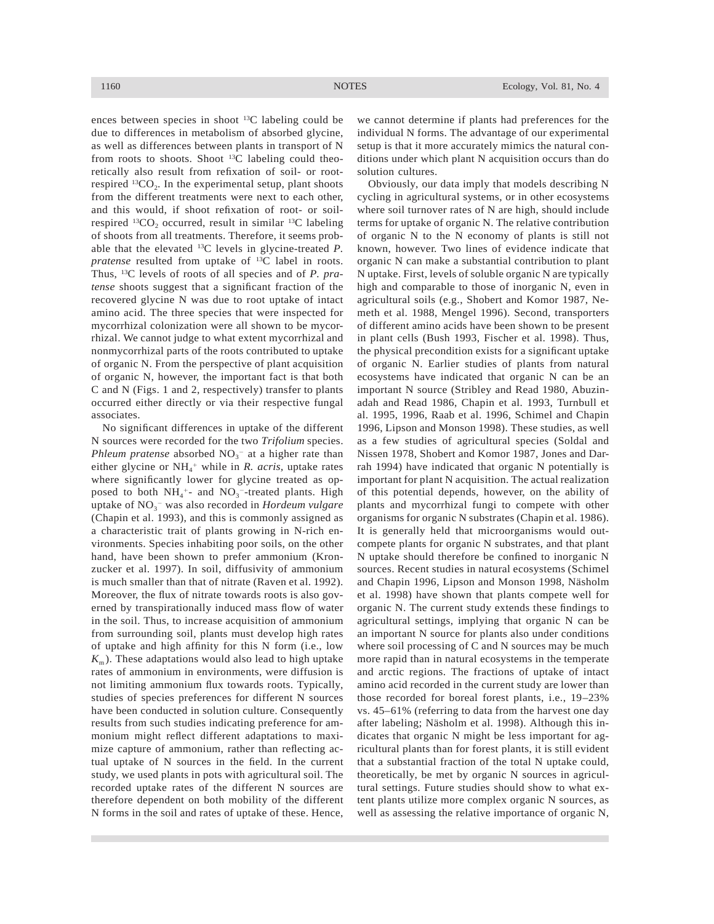ences between species in shoot 13C labeling could be due to differences in metabolism of absorbed glycine, as well as differences between plants in transport of N from roots to shoots. Shoot  $^{13}$ C labeling could theoretically also result from refixation of soil- or rootrespired  $^{13}CO<sub>2</sub>$ . In the experimental setup, plant shoots from the different treatments were next to each other, and this would, if shoot refixation of root- or soilrespired  $^{13}CO_2$  occurred, result in similar  $^{13}C$  labeling of shoots from all treatments. Therefore, it seems probable that the elevated 13C levels in glycine-treated *P. pratense* resulted from uptake of 13C label in roots. Thus, 13C levels of roots of all species and of *P. pratense* shoots suggest that a significant fraction of the recovered glycine N was due to root uptake of intact amino acid. The three species that were inspected for mycorrhizal colonization were all shown to be mycorrhizal. We cannot judge to what extent mycorrhizal and nonmycorrhizal parts of the roots contributed to uptake of organic N. From the perspective of plant acquisition of organic N, however, the important fact is that both C and N (Figs. 1 and 2, respectively) transfer to plants occurred either directly or via their respective fungal associates.

No significant differences in uptake of the different N sources were recorded for the two *Trifolium* species. *Phleum pratense* absorbed  $NO<sub>3</sub><sup>-</sup>$  at a higher rate than either glycine or NH<sub>4</sub><sup>+</sup> while in *R. acris*, uptake rates where significantly lower for glycine treated as opposed to both  $NH_4$ <sup>+</sup>- and  $NO_3$ <sup>-</sup>-treated plants. High uptake of NO3 <sup>2</sup> was also recorded in *Hordeum vulgare* (Chapin et al. 1993), and this is commonly assigned as a characteristic trait of plants growing in N-rich environments. Species inhabiting poor soils, on the other hand, have been shown to prefer ammonium (Kronzucker et al. 1997). In soil, diffusivity of ammonium is much smaller than that of nitrate (Raven et al. 1992). Moreover, the flux of nitrate towards roots is also governed by transpirationally induced mass flow of water in the soil. Thus, to increase acquisition of ammonium from surrounding soil, plants must develop high rates of uptake and high affinity for this N form (i.e., low  $K<sub>m</sub>$ ). These adaptations would also lead to high uptake rates of ammonium in environments, were diffusion is not limiting ammonium flux towards roots. Typically, studies of species preferences for different N sources have been conducted in solution culture. Consequently results from such studies indicating preference for ammonium might reflect different adaptations to maximize capture of ammonium, rather than reflecting actual uptake of N sources in the field. In the current study, we used plants in pots with agricultural soil. The recorded uptake rates of the different N sources are therefore dependent on both mobility of the different N forms in the soil and rates of uptake of these. Hence,

we cannot determine if plants had preferences for the individual N forms. The advantage of our experimental setup is that it more accurately mimics the natural conditions under which plant N acquisition occurs than do solution cultures.

Obviously, our data imply that models describing N cycling in agricultural systems, or in other ecosystems where soil turnover rates of N are high, should include terms for uptake of organic N. The relative contribution of organic N to the N economy of plants is still not known, however. Two lines of evidence indicate that organic N can make a substantial contribution to plant N uptake. First, levels of soluble organic N are typically high and comparable to those of inorganic N, even in agricultural soils (e.g., Shobert and Komor 1987, Nemeth et al. 1988, Mengel 1996). Second, transporters of different amino acids have been shown to be present in plant cells (Bush 1993, Fischer et al. 1998). Thus, the physical precondition exists for a significant uptake of organic N. Earlier studies of plants from natural ecosystems have indicated that organic N can be an important N source (Stribley and Read 1980, Abuzinadah and Read 1986, Chapin et al. 1993, Turnbull et al. 1995, 1996, Raab et al. 1996, Schimel and Chapin 1996, Lipson and Monson 1998). These studies, as well as a few studies of agricultural species (Soldal and Nissen 1978, Shobert and Komor 1987, Jones and Darrah 1994) have indicated that organic N potentially is important for plant N acquisition. The actual realization of this potential depends, however, on the ability of plants and mycorrhizal fungi to compete with other organisms for organic N substrates (Chapin et al. 1986). It is generally held that microorganisms would outcompete plants for organic N substrates, and that plant N uptake should therefore be confined to inorganic N sources. Recent studies in natural ecosystems (Schimel and Chapin 1996, Lipson and Monson 1998, Näsholm et al. 1998) have shown that plants compete well for organic N. The current study extends these findings to agricultural settings, implying that organic N can be an important N source for plants also under conditions where soil processing of C and N sources may be much more rapid than in natural ecosystems in the temperate and arctic regions. The fractions of uptake of intact amino acid recorded in the current study are lower than those recorded for boreal forest plants, i.e., 19–23% vs. 45–61% (referring to data from the harvest one day after labeling; Näsholm et al. 1998). Although this indicates that organic N might be less important for agricultural plants than for forest plants, it is still evident that a substantial fraction of the total N uptake could, theoretically, be met by organic N sources in agricultural settings. Future studies should show to what extent plants utilize more complex organic N sources, as well as assessing the relative importance of organic N,